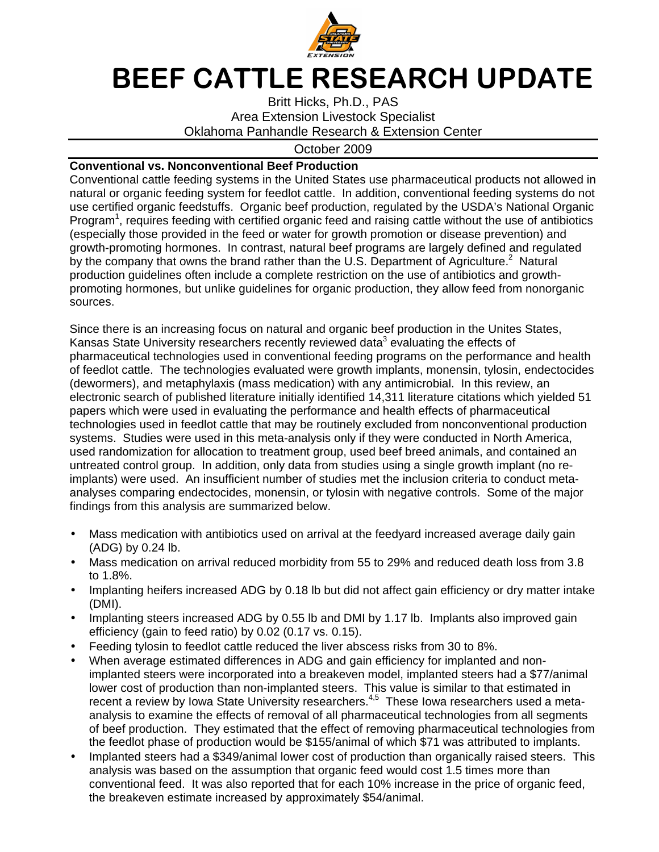

## BEEF CATTLE RESEARCH UPDATE

Britt Hicks, Ph.D., PAS Area Extension Livestock Specialist Oklahoma Panhandle Research & Extension Center

## October 2009

## **Conventional vs. Nonconventional Beef Production**

Conventional cattle feeding systems in the United States use pharmaceutical products not allowed in natural or organic feeding system for feedlot cattle. In addition, conventional feeding systems do not use certified organic feedstuffs. Organic beef production, regulated by the USDA's National Organic Program<sup>1</sup>, requires feeding with certified organic feed and raising cattle without the use of antibiotics (especially those provided in the feed or water for growth promotion or disease prevention) and growth-promoting hormones. In contrast, natural beef programs are largely defined and regulated by the company that owns the brand rather than the U.S. Department of Agriculture.<sup>2</sup> Natural production guidelines often include a complete restriction on the use of antibiotics and growthpromoting hormones, but unlike guidelines for organic production, they allow feed from nonorganic sources.

Since there is an increasing focus on natural and organic beef production in the Unites States, Kansas State University researchers recently reviewed data<sup>3</sup> evaluating the effects of pharmaceutical technologies used in conventional feeding programs on the performance and health of feedlot cattle. The technologies evaluated were growth implants, monensin, tylosin, endectocides (dewormers), and metaphylaxis (mass medication) with any antimicrobial. In this review, an electronic search of published literature initially identified 14,311 literature citations which yielded 51 papers which were used in evaluating the performance and health effects of pharmaceutical technologies used in feedlot cattle that may be routinely excluded from nonconventional production systems. Studies were used in this meta-analysis only if they were conducted in North America, used randomization for allocation to treatment group, used beef breed animals, and contained an untreated control group. In addition, only data from studies using a single growth implant (no reimplants) were used. An insufficient number of studies met the inclusion criteria to conduct metaanalyses comparing endectocides, monensin, or tylosin with negative controls. Some of the major findings from this analysis are summarized below.

- Mass medication with antibiotics used on arrival at the feedyard increased average daily gain (ADG) by 0.24 lb.
- Mass medication on arrival reduced morbidity from 55 to 29% and reduced death loss from 3.8 to 1.8%.
- Implanting heifers increased ADG by 0.18 lb but did not affect gain efficiency or dry matter intake (DMI).
- Implanting steers increased ADG by 0.55 lb and DMI by 1.17 lb. Implants also improved gain efficiency (gain to feed ratio) by 0.02 (0.17 vs. 0.15).
- Feeding tylosin to feedlot cattle reduced the liver abscess risks from 30 to 8%.
- When average estimated differences in ADG and gain efficiency for implanted and nonimplanted steers were incorporated into a breakeven model, implanted steers had a \$77/animal lower cost of production than non-implanted steers. This value is similar to that estimated in recent a review by Iowa State University researchers.<sup>4,5</sup> These Iowa researchers used a metaanalysis to examine the effects of removal of all pharmaceutical technologies from all segments of beef production. They estimated that the effect of removing pharmaceutical technologies from the feedlot phase of production would be \$155/animal of which \$71 was attributed to implants.
- Implanted steers had a \$349/animal lower cost of production than organically raised steers. This analysis was based on the assumption that organic feed would cost 1.5 times more than conventional feed. It was also reported that for each 10% increase in the price of organic feed, the breakeven estimate increased by approximately \$54/animal.